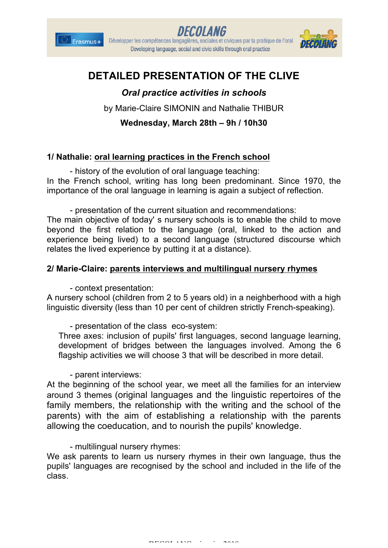





# **DETAILED PRESENTATION OF THE CLIVE**

## *Oral practice activities in schools*

by Marie-Claire SIMONIN and Nathalie THIBUR

**Wednesday, March 28th – 9h / 10h30**

### **1/ Nathalie: oral learning practices in the French school**

- history of the evolution of oral language teaching: In the French school, writing has long been predominant. Since 1970, the importance of the oral language in learning is again a subject of reflection.

- presentation of the current situation and recommendations: The main objective of today' s nursery schools is to enable the child to move beyond the first relation to the language (oral, linked to the action and experience being lived) to a second language (structured discourse which relates the lived experience by putting it at a distance).

#### **2/ Marie-Claire: parents interviews and multilingual nursery rhymes**

- context presentation:

A nursery school (children from 2 to 5 years old) in a neighberhood with a high linguistic diversity (less than 10 per cent of children strictly French-speaking).

- presentation of the class eco-system:

Three axes: inclusion of pupils' first languages, second language learning, development of bridges between the languages involved. Among the 6 flagship activities we will choose 3 that will be described in more detail.

- parent interviews:

At the beginning of the school year, we meet all the families for an interview around 3 themes (original languages and the linguistic repertoires of the family members, the relationship with the writing and the school of the parents) with the aim of establishing a relationship with the parents allowing the coeducation, and to nourish the pupils' knowledge.

#### - multilingual nursery rhymes:

We ask parents to learn us nursery rhymes in their own language, thus the pupils' languages are recognised by the school and included in the life of the class.